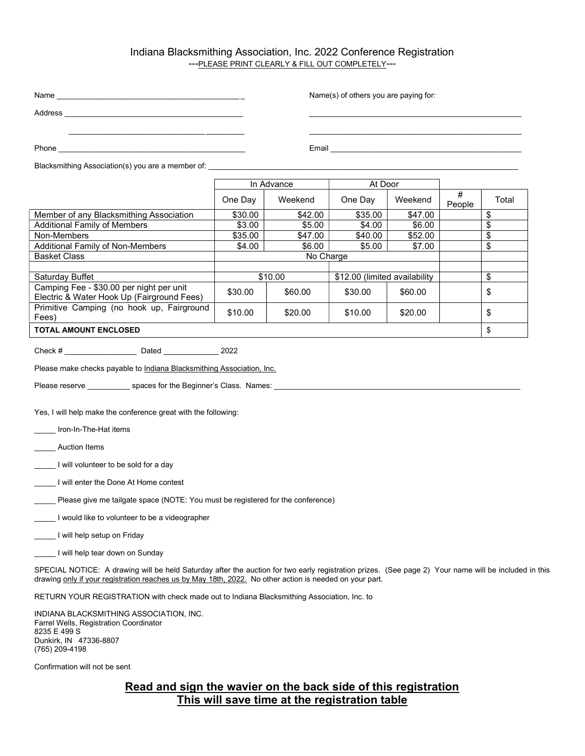## Indiana Blacksmithing Association, Inc. 2022 Conference Registration ---PLEASE PRINT CLEARLY & FILL OUT COMPLETELY---

| Name<br><u> 1989 - Jan Sterling Sterling (d. 1989)</u> |            |         | Name(s) of others you are paying for: |         |             |       |  |  |
|--------------------------------------------------------|------------|---------|---------------------------------------|---------|-------------|-------|--|--|
| Address                                                |            |         |                                       |         |             |       |  |  |
|                                                        |            |         |                                       |         |             |       |  |  |
| Phone                                                  |            | Email   |                                       |         |             |       |  |  |
| Blacksmithing Association(s) you are a member of:      |            |         |                                       |         |             |       |  |  |
|                                                        | In Advance |         | At Door                               |         |             |       |  |  |
|                                                        | One Day    | Weekend | One Day                               | Weekend | #<br>People | Total |  |  |

|                                                                                        | <b>VIIG DAY</b> | <u>VVECNEIJU</u> | <b>UILE DAY</b>               | <u>VVCCNCIIU</u> | People | ι νιαι |
|----------------------------------------------------------------------------------------|-----------------|------------------|-------------------------------|------------------|--------|--------|
| Member of any Blacksmithing Association                                                | \$30.00         | \$42.00          | \$35.00                       | \$47.00          |        | \$     |
| <b>Additional Family of Members</b>                                                    | \$3.00          | \$5.00           | \$4.00                        | \$6.00           |        | \$     |
| Non-Members                                                                            | \$35.00         | \$47.00          | \$40.00                       | \$52.00          |        | \$     |
| <b>Additional Family of Non-Members</b>                                                | \$4.00          | \$6.00           | \$5.00                        | \$7.00           |        | \$     |
| <b>Basket Class</b>                                                                    | No Charge       |                  |                               |                  |        |        |
|                                                                                        |                 |                  |                               |                  |        |        |
| Saturday Buffet                                                                        | \$10.00         |                  | \$12.00 (limited availability |                  |        | \$     |
| Camping Fee - \$30.00 per night per unit<br>Electric & Water Hook Up (Fairground Fees) | \$30.00         | \$60.00          | \$30.00                       | \$60.00          |        | \$     |
| Primitive Camping (no hook up, Fairground<br>Fees)                                     | \$10.00         | \$20.00          | \$10.00                       | \$20.00          |        | \$     |
| <b>TOTAL AMOUNT ENCLOSED</b>                                                           |                 |                  |                               |                  |        |        |

Check # \_\_\_\_\_\_\_\_\_\_\_\_\_\_\_\_\_ Dated \_\_\_\_\_\_\_\_\_\_\_\_\_ 2022

Please make checks payable to Indiana Blacksmithing Association, Inc.

Please reserve \_\_\_\_\_\_\_\_\_\_\_\_\_\_\_ spaces for the Beginner's Class. Names: \_\_\_\_

Yes, I will help make the conference great with the following:

\_\_\_\_\_ Iron-In-The-Hat items

\_\_\_\_\_ Auction Items

\_\_\_\_\_ I will volunteer to be sold for a day

\_\_\_\_\_ I will enter the Done At Home contest

\_\_\_\_\_ Please give me tailgate space (NOTE: You must be registered for the conference)

\_\_\_\_\_ I would like to volunteer to be a videographer

\_\_\_\_\_ I will help setup on Friday

I will help tear down on Sunday

SPECIAL NOTICE: A drawing will be held Saturday after the auction for two early registration prizes. (See page 2) Your name will be included in this drawing only if your registration reaches us by May 18th, 2022. No other action is needed on your part.

RETURN YOUR REGISTRATION with check made out to Indiana Blacksmithing Association, Inc. to

INDIANA BLACKSMITHING ASSOCIATION, INC. Farrel Wells, Registration Coordinator 8235 E 499 S Dunkirk, IN 47336-8807 (765) 209-4198

Confirmation will not be sent

## Read and sign the wavier on the back side of this registration This will save time at the registration table